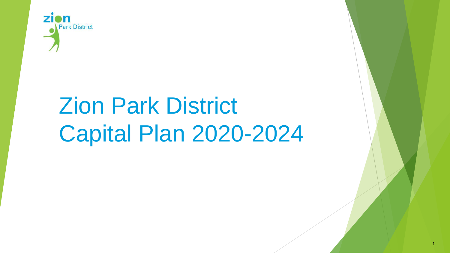

# Zion Park District Capital Plan 2020-2024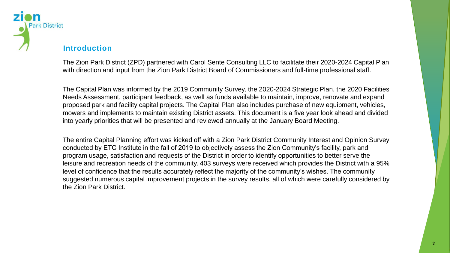

## **Introduction**

The Zion Park District (ZPD) partnered with Carol Sente Consulting LLC to facilitate their 2020-2024 Capital Plan with direction and input from the Zion Park District Board of Commissioners and full-time professional staff.

The Capital Plan was informed by the 2019 Community Survey, the 2020-2024 Strategic Plan, the 2020 Facilities Needs Assessment, participant feedback, as well as funds available to maintain, improve, renovate and expand proposed park and facility capital projects. The Capital Plan also includes purchase of new equipment, vehicles, mowers and implements to maintain existing District assets. This document is a five year look ahead and divided into yearly priorities that will be presented and reviewed annually at the January Board Meeting.

The entire Capital Planning effort was kicked off with a Zion Park District Community Interest and Opinion Survey conducted by ETC Institute in the fall of 2019 to objectively assess the Zion Community's facility, park and program usage, satisfaction and requests of the District in order to identify opportunities to better serve the leisure and recreation needs of the community. 403 surveys were received which provides the District with a 95% level of confidence that the results accurately reflect the majority of the community's wishes. The community suggested numerous capital improvement projects in the survey results, all of which were carefully considered by the Zion Park District.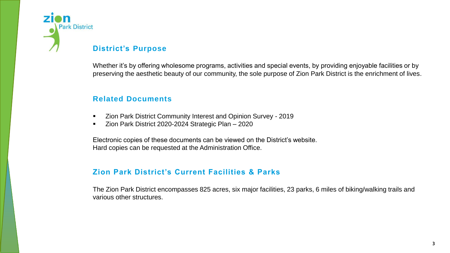

## **District's Purpose**

Whether it's by offering wholesome programs, activities and special events, by providing enjoyable facilities or by preserving the aesthetic beauty of our community, the sole purpose of Zion Park District is the enrichment of lives.

## **Related Documents**

- Zion Park District Community Interest and Opinion Survey 2019
- **EXEDE 2020-2024 Strategic Plan 2020**

Electronic copies of these documents can be viewed on the District's website. Hard copies can be requested at the Administration Office.

## **Zion Park District's Current Facilities & Parks**

The Zion Park District encompasses 825 acres, six major facilities, 23 parks, 6 miles of biking/walking trails and various other structures.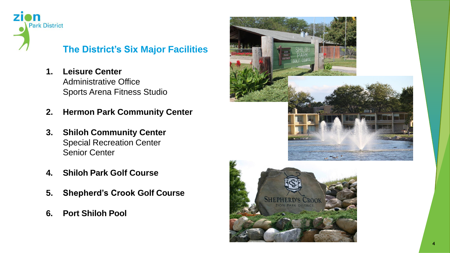

## **The District's Six Major Facilities**

- **1. Leisure Center** Administrative Office Sports Arena Fitness Studio
- **2. Hermon Park Community Center**
- **3. Shiloh Community Center** Special Recreation Center Senior Center
- **4. Shiloh Park Golf Course**
- **5. Shepherd's Crook Golf Course**
- **6. Port Shiloh Pool**

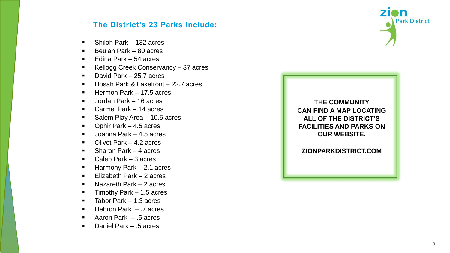## **The District's 23 Parks Include:**

- Shiloh Park 132 acres
- $\blacksquare$  Beulah Park 80 acres
- $\blacksquare$  Edina Park 54 acres
- Kellogg Creek Conservancy 37 acres
- David Park 25.7 acres
- Hosah Park & Lakefront 22.7 acres
- Hermon Park 17.5 acres
- **Jordan Park 16 acres**
- Carmel Park 14 acres
- Salem Play Area 10.5 acres
- Ophir Park 4.5 acres
- Joanna Park 4.5 acres
- **Divet Park 4.2 acres**
- Sharon Park 4 acres
- Caleb Park 3 acres
- Harmony Park 2.1 acres
- **Elizabeth Park 2 acres**
- **Nazareth Park 2 acres**
- $\blacksquare$  Timothy Park 1.5 acres
- $\blacksquare$  Tabor Park 1.3 acres
- $\blacksquare$  Hebron Park .7 acres
- Aaron Park .5 acres
- Daniel Park .5 acres

**THE COMMUNITY CAN FIND A MAP LOCATING ALL OF THE DISTRICT'S FACILITIES AND PARKS ON OUR WEBSITE.**

**ZIONPARKDISTRICT.COM**

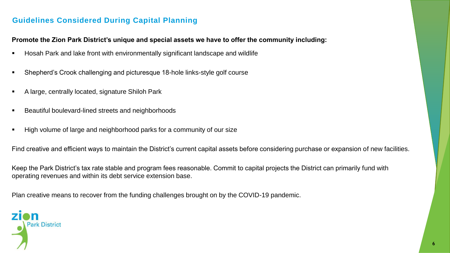## **Guidelines Considered During Capital Planning**

#### **Promote the Zion Park District's unique and special assets we have to offer the community including:**

- Hosah Park and lake front with environmentally significant landscape and wildlife
- Shepherd's Crook challenging and picturesque 18-hole links-style golf course
- A large, centrally located, signature Shiloh Park
- Beautiful boulevard-lined streets and neighborhoods
- High volume of large and neighborhood parks for a community of our size

Find creative and efficient ways to maintain the District's current capital assets before considering purchase or expansion of new facilities.

Keep the Park District's tax rate stable and program fees reasonable. Commit to capital projects the District can primarily fund with operating revenues and within its debt service extension base.

Plan creative means to recover from the funding challenges brought on by the COVID-19 pandemic.

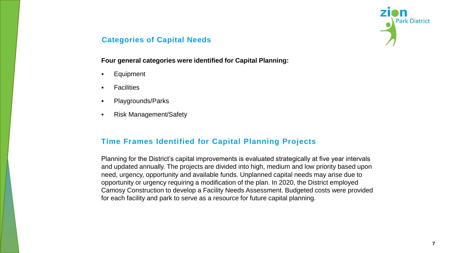

## **Categories of Capital Needs**

#### **Four general categories were identified for Capital Planning:**

- Equipment
- **Facilities**
- Playgrounds/Parks
- Risk Management/Safety

### **Time Frames Identified for Capital Planning Projects**

Planning for the District's capital improvements is evaluated strategically at five year intervals and updated annually. The projects are divided into high, medium and low priority based upon need, urgency, opportunity and available funds. Unplanned capital needs may arise due to opportunity or urgency requiring a modification of the plan. In 2020, the District employed Camosy Construction to develop a Facility Needs Assessment. Budgeted costs were provided for each facility and park to serve as a resource for future capital planning.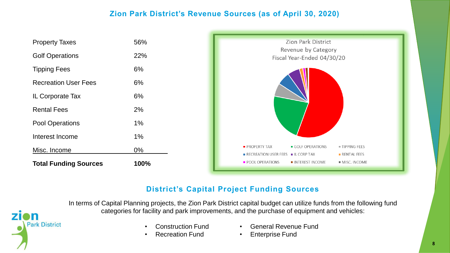## **Zion Park District's Revenue Sources (as of April 30, 2020)**



## **District's Capital Project Funding Sources**

In terms of Capital Planning projects, the Zion Park District capital budget can utilize funds from the following fund categories for facility and park improvements, and the purchase of equipment and vehicles:

- Construction Fund
- Recreation Fund

**Park District** 

- General Revenue Fund
- **Enterprise Fund**